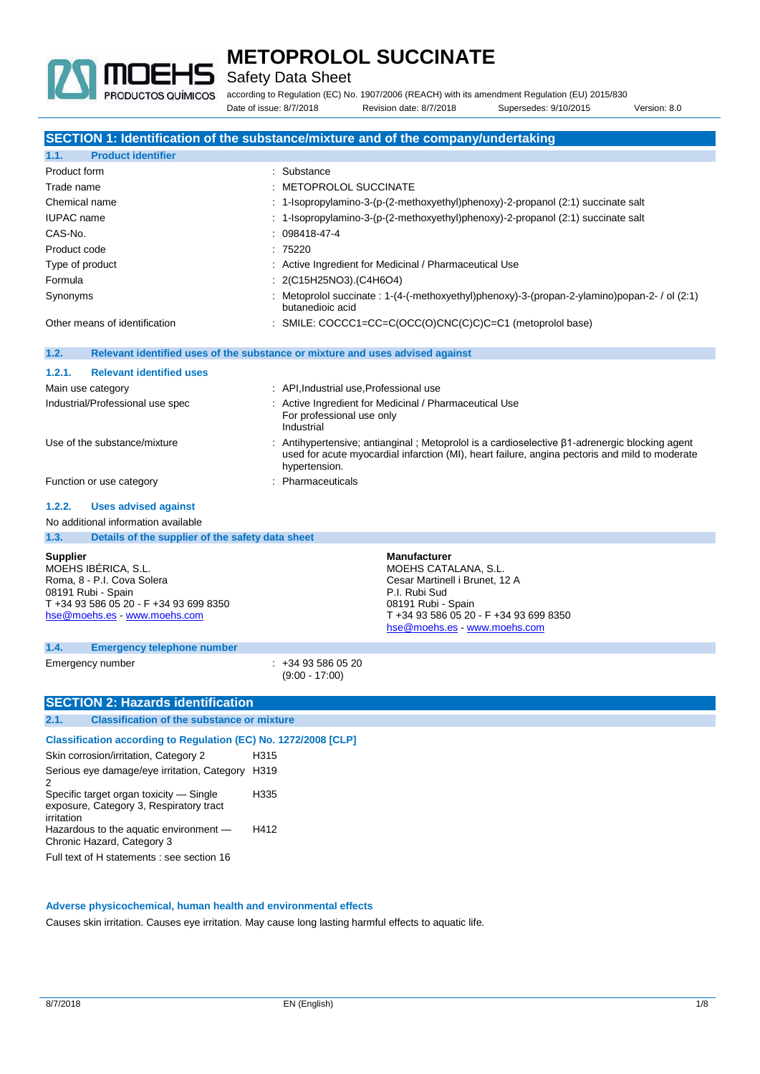

Safety Data Sheet

according to Regulation (EC) No. 1907/2006 (REACH) with its amendment Regulation (EU) 2015/830 Date of issue: 8/7/2018 Revision date: 8/7/2018 Supersedes: 9/10/2015 Version: 8.0

**SECTION 1: Identification of the substance/mixture and of the company/undertaking 1.1. Product identifier** Product form  $\qquad \qquad$ : Substance Trade name : METOPROLOL SUCCINATE Chemical name  $\qquad \qquad$  : 1-Isopropylamino-3-(p-(2-methoxyethyl)phenoxy)-2-propanol (2:1) succinate salt IUPAC name : 1-Isopropylamino-3-(p-(2-methoxyethyl)phenoxy)-2-propanol (2:1) succinate salt CAS-No. : 098418-47-4 Product code : 75220 Type of product in the state of the Active Ingredient for Medicinal / Pharmaceutical Use Formula : 2(C15H25NO3).(C4H6O4) Synonyms : Metoprolol succinate : 1-(4-(-methoxyethyl)phenoxy)-3-(propan-2-ylamino)popan-2- / ol (2:1) butanedioic acid Other means of identification : SMILE: COCCC1=CC=C(OCC(O)CNC(C)C)C=C1 (metoprolol base) **1.2. Relevant identified uses of the substance or mixture and uses advised against 1.2.1. Relevant identified uses** Main use category **Main use category** : API, Industrial use, Professional use Industrial/Professional use spec : Active Ingredient for Medicinal / Pharmaceutical Use For professional use only Industrial Use of the substance/mixture : Antihypertensive; antianginal ; Metoprolol is a cardioselective β1-adrenergic blocking agent used for acute myocardial infarction (MI), heart failure, angina pectoris and mild to moderate hypertension. Function or use category **in the set of the COV** in Pharmaceuticals **1.2.2. Uses advised against** No additional information available **1.3. Details of the supplier of the safety data sheet Supplier** MOEHS IBÉRICA, S.L. Roma, 8 - P.I. Cova Solera 08191 Rubi - Spain T +34 93 586 05 20 - F +34 93 699 8350 [hse@moehs.es](mailto:hse@moehs.es) - <www.moehs.com> **Manufacturer** MOEHS CATALANA, S.L. Cesar Martinell i Brunet, 12 A P.I. Rubi Sud 08191 Rubi - Spain T +34 93 586 05 20 - F +34 93 699 8350 [hse@moehs.es](mailto:hse@moehs.es) - <www.moehs.com> **1.4. Emergency telephone number** Emergency number : +34 93 586 05 20 (9:00 - 17:00) **SECTION 2: Hazards identification 2.1. Classification of the substance or mixture Classification according to Regulation (EC) No. 1272/2008 [CLP]** Skin corrosion/irritation, Category 2 H315 Serious eye damage/eye irritation, Category  $\mathcal{D}$ H319 Specific target organ toxicity — Single exposure, Category 3, Respiratory tract irritation H335 Hazardous to the aquatic environment — Chronic Hazard, Category 3 H412

Full text of H statements : see section 16

#### **Adverse physicochemical, human health and environmental effects**

Causes skin irritation. Causes eye irritation. May cause long lasting harmful effects to aquatic life.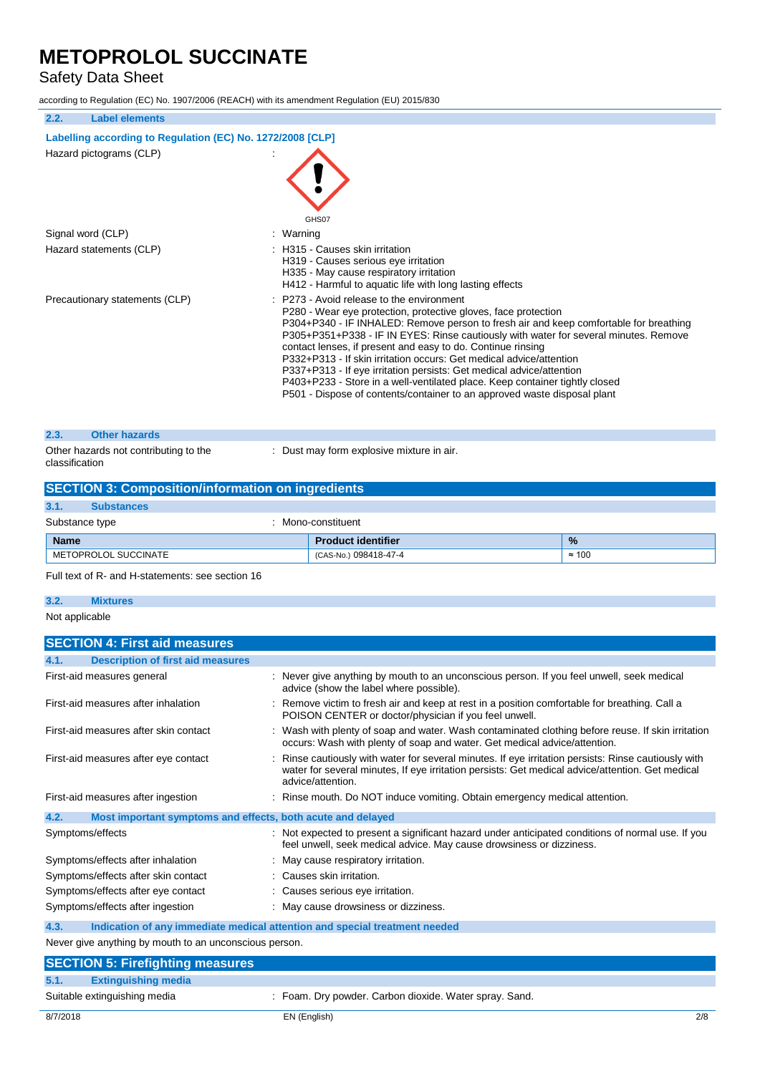# Safety Data Sheet

according to Regulation (EC) No. 1907/2006 (REACH) with its amendment Regulation (EU) 2015/830

| 2.2.<br><b>Label elements</b>                              |                                                                                                                                                                                                                                                                                                                                                                                                                                                                                                                                                                                                                                                                     |  |
|------------------------------------------------------------|---------------------------------------------------------------------------------------------------------------------------------------------------------------------------------------------------------------------------------------------------------------------------------------------------------------------------------------------------------------------------------------------------------------------------------------------------------------------------------------------------------------------------------------------------------------------------------------------------------------------------------------------------------------------|--|
| Labelling according to Regulation (EC) No. 1272/2008 [CLP] |                                                                                                                                                                                                                                                                                                                                                                                                                                                                                                                                                                                                                                                                     |  |
| Hazard pictograms (CLP)                                    |                                                                                                                                                                                                                                                                                                                                                                                                                                                                                                                                                                                                                                                                     |  |
|                                                            | GHS07                                                                                                                                                                                                                                                                                                                                                                                                                                                                                                                                                                                                                                                               |  |
| Signal word (CLP)                                          | : Warning                                                                                                                                                                                                                                                                                                                                                                                                                                                                                                                                                                                                                                                           |  |
| Hazard statements (CLP)                                    | H315 - Causes skin irritation<br>H319 - Causes serious eye irritation<br>H335 - May cause respiratory irritation<br>H412 - Harmful to aquatic life with long lasting effects                                                                                                                                                                                                                                                                                                                                                                                                                                                                                        |  |
| Precautionary statements (CLP)                             | P273 - Avoid release to the environment<br>P280 - Wear eye protection, protective gloves, face protection<br>P304+P340 - IF INHALED: Remove person to fresh air and keep comfortable for breathing<br>P305+P351+P338 - IF IN EYES: Rinse cautiously with water for several minutes. Remove<br>contact lenses, if present and easy to do. Continue rinsing<br>P332+P313 - If skin irritation occurs: Get medical advice/attention<br>P337+P313 - If eye irritation persists: Get medical advice/attention<br>P403+P233 - Store in a well-ventilated place. Keep container tightly closed<br>P501 - Dispose of contents/container to an approved waste disposal plant |  |
| <b>Other hazards</b><br>2.3.                               |                                                                                                                                                                                                                                                                                                                                                                                                                                                                                                                                                                                                                                                                     |  |
| Other hazards not contributing to the<br>classification    | : Dust may form explosive mixture in air.                                                                                                                                                                                                                                                                                                                                                                                                                                                                                                                                                                                                                           |  |

### **SECTION 3: Composition/information on ingredients**

| 3.1.                                 | <b>Substances</b>    |  |                           |               |
|--------------------------------------|----------------------|--|---------------------------|---------------|
| Substance type<br>: Mono-constituent |                      |  |                           |               |
| <b>Name</b>                          |                      |  | <b>Product identifier</b> | $\frac{9}{6}$ |
|                                      | METOPROLOL SUCCINATE |  | (CAS-No.) 098418-47-4     | $\approx$ 100 |

Full text of R- and H-statements: see section 16

### **3.2. Mixtures**

#### Not applicable

| <b>SECTION 4: First aid measures</b>                                |                                                                                                                                                                                                                             |
|---------------------------------------------------------------------|-----------------------------------------------------------------------------------------------------------------------------------------------------------------------------------------------------------------------------|
| <b>Description of first aid measures</b><br>4.1.                    |                                                                                                                                                                                                                             |
| First-aid measures general                                          | : Never give anything by mouth to an unconscious person. If you feel unwell, seek medical<br>advice (show the label where possible).                                                                                        |
| First-aid measures after inhalation                                 | Remove victim to fresh air and keep at rest in a position comfortable for breathing. Call a<br>POISON CENTER or doctor/physician if you feel unwell.                                                                        |
| First-aid measures after skin contact                               | : Wash with plenty of soap and water. Wash contaminated clothing before reuse. If skin irritation<br>occurs: Wash with plenty of soap and water. Get medical advice/attention.                                              |
| First-aid measures after eye contact                                | Rinse cautiously with water for several minutes. If eye irritation persists: Rinse cautiously with<br>water for several minutes, If eye irritation persists: Get medical advice/attention. Get medical<br>advice/attention. |
| First-aid measures after ingestion                                  | : Rinse mouth. Do NOT induce vomiting. Obtain emergency medical attention.                                                                                                                                                  |
| 4.2.<br>Most important symptoms and effects, both acute and delayed |                                                                                                                                                                                                                             |
| Symptoms/effects                                                    | : Not expected to present a significant hazard under anticipated conditions of normal use. If you<br>feel unwell, seek medical advice. May cause drowsiness or dizziness.                                                   |
| Symptoms/effects after inhalation                                   | May cause respiratory irritation.                                                                                                                                                                                           |
| Symptoms/effects after skin contact                                 | : Causes skin irritation.                                                                                                                                                                                                   |
| Symptoms/effects after eye contact                                  | : Causes serious eye irritation.                                                                                                                                                                                            |
| Symptoms/effects after ingestion                                    | : May cause drowsiness or dizziness.                                                                                                                                                                                        |
| 4.3.                                                                | Indication of any immediate medical attention and special treatment needed                                                                                                                                                  |

Never give anything by mouth to an unconscious person.

| <b>SECTION 5: Firefighting measures</b> |                                                        |
|-----------------------------------------|--------------------------------------------------------|
| 5.1.<br><b>Extinguishing media</b>      |                                                        |
| Suitable extinguishing media            | : Foam. Dry powder. Carbon dioxide. Water spray. Sand. |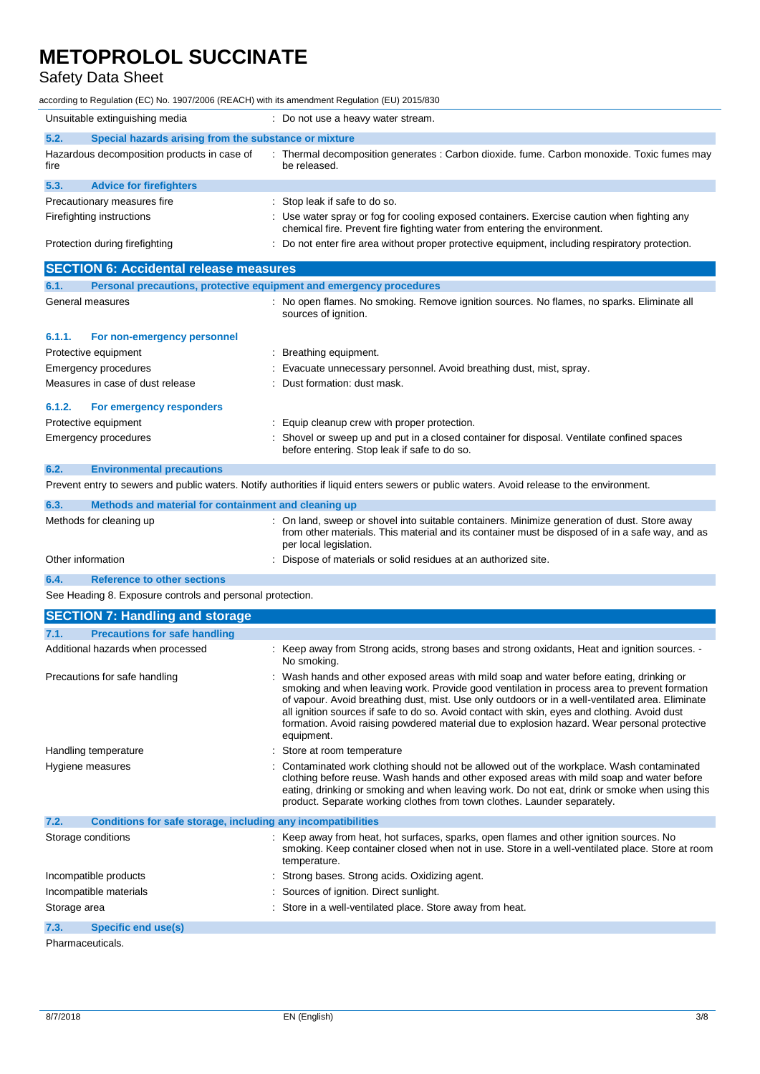# Safety Data Sheet

according to Regulation (EC) No. 1907/2006 (REACH) with its amendment Regulation (EU) 2015/830

| Unsuitable extinguishing media                                              | : Do not use a heavy water stream.                                                                                                                                                                                                                                                                                                                                                                                                                                                                          |
|-----------------------------------------------------------------------------|-------------------------------------------------------------------------------------------------------------------------------------------------------------------------------------------------------------------------------------------------------------------------------------------------------------------------------------------------------------------------------------------------------------------------------------------------------------------------------------------------------------|
| 5.2.<br>Special hazards arising from the substance or mixture               |                                                                                                                                                                                                                                                                                                                                                                                                                                                                                                             |
| Hazardous decomposition products in case of<br>fire                         | Thermal decomposition generates : Carbon dioxide. fume. Carbon monoxide. Toxic fumes may<br>be released.                                                                                                                                                                                                                                                                                                                                                                                                    |
| 5.3.<br><b>Advice for firefighters</b>                                      |                                                                                                                                                                                                                                                                                                                                                                                                                                                                                                             |
| Precautionary measures fire                                                 | : Stop leak if safe to do so.                                                                                                                                                                                                                                                                                                                                                                                                                                                                               |
| Firefighting instructions                                                   | Use water spray or fog for cooling exposed containers. Exercise caution when fighting any<br>chemical fire. Prevent fire fighting water from entering the environment.                                                                                                                                                                                                                                                                                                                                      |
| Protection during firefighting                                              | : Do not enter fire area without proper protective equipment, including respiratory protection.                                                                                                                                                                                                                                                                                                                                                                                                             |
| <b>SECTION 6: Accidental release measures</b>                               |                                                                                                                                                                                                                                                                                                                                                                                                                                                                                                             |
| Personal precautions, protective equipment and emergency procedures<br>6.1. |                                                                                                                                                                                                                                                                                                                                                                                                                                                                                                             |
| General measures                                                            | : No open flames. No smoking. Remove ignition sources. No flames, no sparks. Eliminate all<br>sources of ignition.                                                                                                                                                                                                                                                                                                                                                                                          |
| 6.1.1.<br>For non-emergency personnel                                       |                                                                                                                                                                                                                                                                                                                                                                                                                                                                                                             |
| Protective equipment                                                        | Breathing equipment.                                                                                                                                                                                                                                                                                                                                                                                                                                                                                        |
| Emergency procedures                                                        | Evacuate unnecessary personnel. Avoid breathing dust, mist, spray.                                                                                                                                                                                                                                                                                                                                                                                                                                          |
| Measures in case of dust release                                            | Dust formation: dust mask.                                                                                                                                                                                                                                                                                                                                                                                                                                                                                  |
| 6.1.2.<br>For emergency responders                                          |                                                                                                                                                                                                                                                                                                                                                                                                                                                                                                             |
| Protective equipment                                                        | Equip cleanup crew with proper protection.                                                                                                                                                                                                                                                                                                                                                                                                                                                                  |
| Emergency procedures                                                        | Shovel or sweep up and put in a closed container for disposal. Ventilate confined spaces<br>before entering. Stop leak if safe to do so.                                                                                                                                                                                                                                                                                                                                                                    |
| 6.2.<br><b>Environmental precautions</b>                                    |                                                                                                                                                                                                                                                                                                                                                                                                                                                                                                             |
|                                                                             | Prevent entry to sewers and public waters. Notify authorities if liquid enters sewers or public waters. Avoid release to the environment.                                                                                                                                                                                                                                                                                                                                                                   |
| 6.3.<br>Methods and material for containment and cleaning up                |                                                                                                                                                                                                                                                                                                                                                                                                                                                                                                             |
| Methods for cleaning up                                                     | On land, sweep or shovel into suitable containers. Minimize generation of dust. Store away<br>from other materials. This material and its container must be disposed of in a safe way, and as<br>per local legislation.                                                                                                                                                                                                                                                                                     |
| Other information                                                           | Dispose of materials or solid residues at an authorized site.                                                                                                                                                                                                                                                                                                                                                                                                                                               |
| 6.4.<br><b>Reference to other sections</b>                                  |                                                                                                                                                                                                                                                                                                                                                                                                                                                                                                             |
| See Heading 8. Exposure controls and personal protection.                   |                                                                                                                                                                                                                                                                                                                                                                                                                                                                                                             |
| <b>SECTION 7: Handling and storage</b>                                      |                                                                                                                                                                                                                                                                                                                                                                                                                                                                                                             |
| <b>Precautions for safe handling</b><br>7.1.                                |                                                                                                                                                                                                                                                                                                                                                                                                                                                                                                             |
| Additional hazards when processed                                           | : Keep away from Strong acids, strong bases and strong oxidants, Heat and ignition sources. -<br>No smoking.                                                                                                                                                                                                                                                                                                                                                                                                |
| Precautions for safe handling                                               | : Wash hands and other exposed areas with mild soap and water before eating, drinking or<br>smoking and when leaving work. Provide good ventilation in process area to prevent formation<br>of vapour. Avoid breathing dust, mist. Use only outdoors or in a well-ventilated area. Eliminate<br>all ignition sources if safe to do so. Avoid contact with skin, eyes and clothing. Avoid dust<br>formation. Avoid raising powdered material due to explosion hazard. Wear personal protective<br>equipment. |
| Handling temperature                                                        | Store at room temperature                                                                                                                                                                                                                                                                                                                                                                                                                                                                                   |
| Hygiene measures                                                            | Contaminated work clothing should not be allowed out of the workplace. Wash contaminated<br>clothing before reuse. Wash hands and other exposed areas with mild soap and water before<br>eating, drinking or smoking and when leaving work. Do not eat, drink or smoke when using this<br>product. Separate working clothes from town clothes. Launder separately.                                                                                                                                          |
| 7.2.<br>Conditions for safe storage, including any incompatibilities        |                                                                                                                                                                                                                                                                                                                                                                                                                                                                                                             |
| Storage conditions                                                          | : Keep away from heat, hot surfaces, sparks, open flames and other ignition sources. No<br>smoking. Keep container closed when not in use. Store in a well-ventilated place. Store at room<br>temperature.                                                                                                                                                                                                                                                                                                  |
| Incompatible products                                                       | Strong bases. Strong acids. Oxidizing agent.                                                                                                                                                                                                                                                                                                                                                                                                                                                                |
| Incompatible materials                                                      | Sources of ignition. Direct sunlight.                                                                                                                                                                                                                                                                                                                                                                                                                                                                       |

Storage area **in a stronger area in a stronger area** : Store in a well-ventilated place. Store away from heat.

**7.3. Specific end use(s)**

Pharmaceuticals.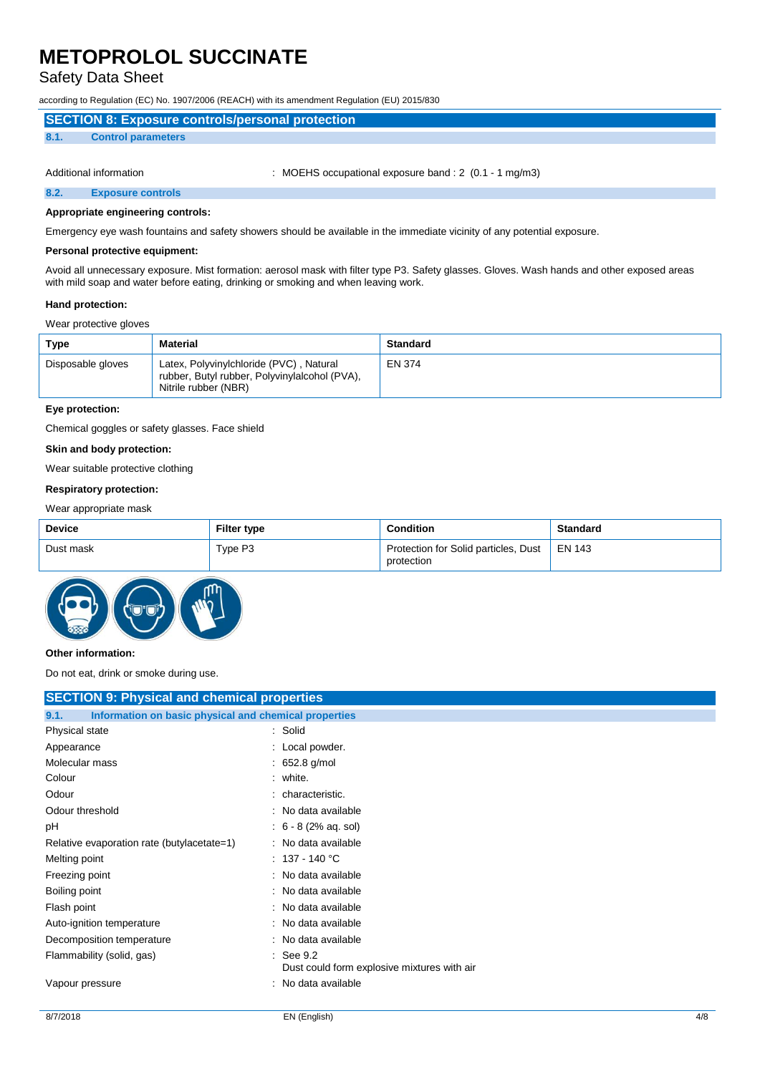### Safety Data Sheet

according to Regulation (EC) No. 1907/2006 (REACH) with its amendment Regulation (EU) 2015/830

| SECTION 8: Exposure controls/personal protection |                           |  |  |
|--------------------------------------------------|---------------------------|--|--|
| 8.1.                                             | <b>Control parameters</b> |  |  |
|                                                  |                           |  |  |

Additional information : MOEHS occupational exposure band : 2 (0.1 - 1 mg/m3)

**8.2. Exposure controls**

**Appropriate engineering controls:**

Emergency eye wash fountains and safety showers should be available in the immediate vicinity of any potential exposure.

#### **Personal protective equipment:**

Avoid all unnecessary exposure. Mist formation: aerosol mask with filter type P3. Safety glasses. Gloves. Wash hands and other exposed areas with mild soap and water before eating, drinking or smoking and when leaving work.

#### **Hand protection:**

#### Wear protective gloves

| Type              | Material                                                                                                         | <b>Standard</b> |
|-------------------|------------------------------------------------------------------------------------------------------------------|-----------------|
| Disposable gloves | Latex, Polyvinylchloride (PVC), Natural<br>rubber, Butyl rubber, Polyvinylalcohol (PVA),<br>Nitrile rubber (NBR) | <b>EN 374</b>   |

#### **Eye protection:**

Chemical goggles or safety glasses. Face shield

#### **Skin and body protection:**

Wear suitable protective clothing

#### **Respiratory protection:**

#### Wear appropriate mask

| Device    | <b>Filter type</b> | <b>Condition</b>                                            | <b>Standard</b> |
|-----------|--------------------|-------------------------------------------------------------|-----------------|
| Dust mask | Type P3            | Protection for Solid particles, Dust   EN 143<br>protection |                 |



#### **Other information:**

Do not eat, drink or smoke during use.

| <b>SECTION 9: Physical and chemical properties</b>            |                                                                     |  |
|---------------------------------------------------------------|---------------------------------------------------------------------|--|
| Information on basic physical and chemical properties<br>9.1. |                                                                     |  |
| Physical state                                                | : Solid                                                             |  |
| Appearance                                                    | : Local powder.                                                     |  |
| Molecular mass                                                | 652.8 g/mol                                                         |  |
| Colour                                                        | : white.                                                            |  |
| Odour                                                         | characteristic.                                                     |  |
| Odour threshold                                               | : No data available                                                 |  |
| рH                                                            | $: 6 - 8 (2% \text{ aq.} \text{sol})$                               |  |
| Relative evaporation rate (butylacetate=1)                    | : No data available                                                 |  |
| Melting point                                                 | $: 137 - 140 °C$                                                    |  |
| Freezing point                                                | : No data available                                                 |  |
| Boiling point                                                 | : No data available                                                 |  |
| Flash point                                                   | : No data available                                                 |  |
| Auto-ignition temperature                                     | No data available                                                   |  |
| Decomposition temperature                                     | No data available                                                   |  |
| Flammability (solid, gas)                                     | $\therefore$ See 9.2<br>Dust could form explosive mixtures with air |  |
| Vapour pressure                                               | No data available<br>۰                                              |  |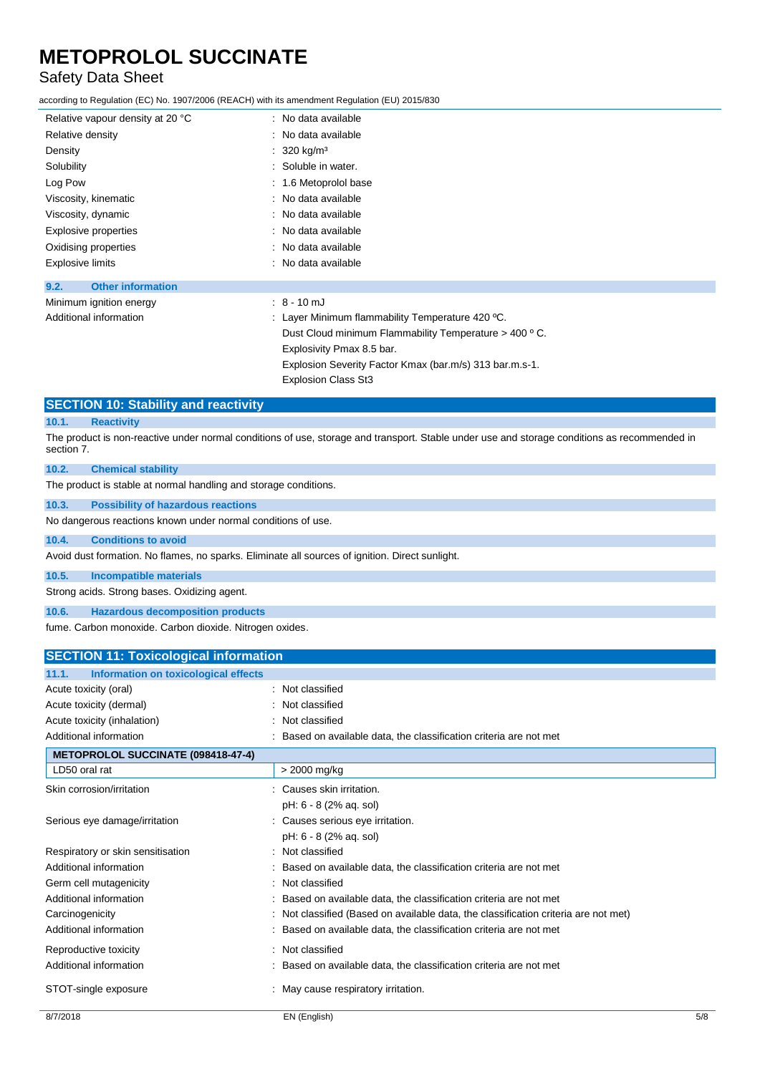# Safety Data Sheet

according to Regulation (EC) No. 1907/2006 (REACH) with its amendment Regulation (EU) 2015/830

| Relative vapour density at 20 °C | : No data available                                   |
|----------------------------------|-------------------------------------------------------|
| Relative density                 | : No data available                                   |
| Density                          | : 320 kg/m <sup>3</sup>                               |
| Solubility                       | : Soluble in water.                                   |
| Log Pow                          | : 1.6 Metoprolol base                                 |
| Viscosity, kinematic             | : No data available                                   |
| Viscosity, dynamic               | : No data available                                   |
| Explosive properties             | : No data available                                   |
| Oxidising properties             | : No data available                                   |
| <b>Explosive limits</b>          | : No data available                                   |
| <b>Other information</b><br>9.2. |                                                       |
| Minimum ignition energy          | $: 8 - 10$ mJ                                         |
| Additional information           | : Layer Minimum flammability Temperature 420 $°C$ .   |
|                                  | Dust Cloud minimum Flammability Temperature > 400 °C. |
|                                  | Explosivity Pmax 8.5 bar.                             |
|                                  |                                                       |

Explosion Severity Factor Kmax (bar.m/s) 313 bar.m.s-1.

Explosion Class St3

### **SECTION 10: Stability and reactivity**

#### **10.1. Reactivity**

The product is non-reactive under normal conditions of use, storage and transport. Stable under use and storage conditions as recommended in section 7.

| 10.2.                                                                                           | <b>Chemical stability</b>                                                                                                                                                                                                      |  |  |
|-------------------------------------------------------------------------------------------------|--------------------------------------------------------------------------------------------------------------------------------------------------------------------------------------------------------------------------------|--|--|
| The product is stable at normal handling and storage conditions.                                |                                                                                                                                                                                                                                |  |  |
| 10.3.                                                                                           | <b>Possibility of hazardous reactions</b>                                                                                                                                                                                      |  |  |
|                                                                                                 | No dangerous reactions known under normal conditions of use.                                                                                                                                                                   |  |  |
| 10.4.                                                                                           | <b>Conditions to avoid</b>                                                                                                                                                                                                     |  |  |
| Avoid dust formation. No flames, no sparks. Eliminate all sources of ignition. Direct sunlight. |                                                                                                                                                                                                                                |  |  |
| 10.5.                                                                                           | <b>Incompatible materials</b>                                                                                                                                                                                                  |  |  |
|                                                                                                 | Strong acids. Strong bases. Oxidizing agent.                                                                                                                                                                                   |  |  |
| 10.6.                                                                                           | <b>Hazardous decomposition products</b>                                                                                                                                                                                        |  |  |
|                                                                                                 | the contract and contract the contract of the following contract and the contract of the contract of the contract of the contract of the contract of the contract of the contract of the contract of the contract of the contr |  |  |

fume. Carbon monoxide. Carbon dioxide. Nitrogen oxides.

| <b>SECTION 11: Toxicological information</b>  |                                                                                   |  |
|-----------------------------------------------|-----------------------------------------------------------------------------------|--|
| Information on toxicological effects<br>11.1. |                                                                                   |  |
| Acute toxicity (oral)                         | : Not classified                                                                  |  |
| Acute toxicity (dermal)                       | Not classified                                                                    |  |
| Acute toxicity (inhalation)                   | Not classified                                                                    |  |
| Additional information                        | Based on available data, the classification criteria are not met                  |  |
| <b>METOPROLOL SUCCINATE (098418-47-4)</b>     |                                                                                   |  |
| LD50 oral rat                                 | > 2000 mg/kg                                                                      |  |
| Skin corrosion/irritation                     | Causes skin irritation.                                                           |  |
|                                               | pH: 6 - 8 (2% aq. sol)                                                            |  |
| Serious eye damage/irritation                 | Causes serious eye irritation.                                                    |  |
|                                               | pH: 6 - 8 (2% ag. sol)                                                            |  |
| Respiratory or skin sensitisation             | : Not classified                                                                  |  |
| Additional information                        | Based on available data, the classification criteria are not met                  |  |
| Germ cell mutagenicity                        | Not classified                                                                    |  |
| Additional information                        | Based on available data, the classification criteria are not met                  |  |
| Carcinogenicity                               | Not classified (Based on available data, the classification criteria are not met) |  |
| Additional information                        | Based on available data, the classification criteria are not met                  |  |
| Reproductive toxicity                         | Not classified<br>۰                                                               |  |
| Additional information                        | Based on available data, the classification criteria are not met                  |  |
| STOT-single exposure                          | May cause respiratory irritation.                                                 |  |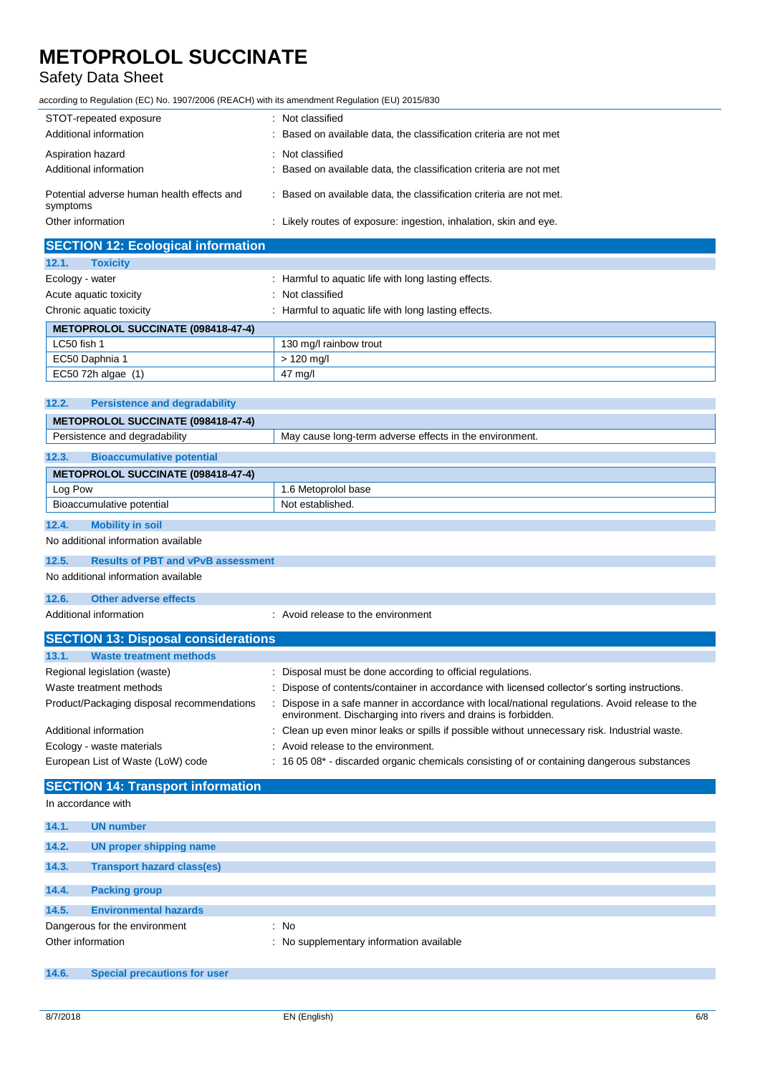# Safety Data Sheet

according to Regulation (EC) No. 1907/2006 (REACH) with its amendment Regulation (EU) 2015/830

| STOT-repeated exposure                                 | : Not classified                                                    |
|--------------------------------------------------------|---------------------------------------------------------------------|
| Additional information                                 | : Based on available data, the classification criteria are not met  |
| Aspiration hazard                                      | : Not classified                                                    |
| Additional information                                 | : Based on available data, the classification criteria are not met  |
| Potential adverse human health effects and<br>symptoms | : Based on available data, the classification criteria are not met. |
| Other information                                      | : Likely routes of exposure: ingestion, inhalation, skin and eye.   |

| <b>SECTION 12: Ecological information</b> |                                                      |  |
|-------------------------------------------|------------------------------------------------------|--|
| 12.1.<br><b>Toxicity</b>                  |                                                      |  |
| Ecology - water                           | : Harmful to aquatic life with long lasting effects. |  |
| Acute aquatic toxicity                    | Not classified                                       |  |
| Chronic aquatic toxicity                  | : Harmful to aquatic life with long lasting effects. |  |
| METOPROLOL SUCCINATE (098418-47-4)        |                                                      |  |
| LC50 fish 1                               | 130 mg/l rainbow trout                               |  |
| EC50 Daphnia 1                            | $> 120$ mg/l                                         |  |
| EC50 72h algae (1)                        | 47 mg/l                                              |  |

| <b>METOPROLOL SUCCINATE (098418-47-4)</b>                                                |  |  |
|------------------------------------------------------------------------------------------|--|--|
| Persistence and degradability<br>May cause long-term adverse effects in the environment. |  |  |
| <b>Bioaccumulative potential</b><br>12.3.                                                |  |  |
|                                                                                          |  |  |
| <b>METOPROLOL SUCCINATE (098418-47-4)</b>                                                |  |  |
| Log Pow<br>1.6 Metoprolol base                                                           |  |  |
| Bioaccumulative potential<br>Not established.                                            |  |  |
|                                                                                          |  |  |
| 12.4.<br><b>Mobility in soil</b>                                                         |  |  |

No additional information available

| 12.5. | <b>Results of PBT and vPvB assessment</b>                    |  |
|-------|--------------------------------------------------------------|--|
|       | No additional information available                          |  |
| 12.6. | Other adverse effects                                        |  |
|       | Additional information<br>: Avoid release to the environment |  |

| <b>SECTION 13: Disposal considerations</b> |                                                                                                                                                               |  |
|--------------------------------------------|---------------------------------------------------------------------------------------------------------------------------------------------------------------|--|
| <b>Waste treatment methods</b><br>13.1.    |                                                                                                                                                               |  |
| Regional legislation (waste)               | : Disposal must be done according to official regulations.                                                                                                    |  |
| Waste treatment methods                    | : Dispose of contents/container in accordance with licensed collector's sorting instructions.                                                                 |  |
| Product/Packaging disposal recommendations | Dispose in a safe manner in accordance with local/national regulations. Avoid release to the<br>environment. Discharging into rivers and drains is forbidden. |  |
| Additional information                     | : Clean up even minor leaks or spills if possible without unnecessary risk. Industrial waste.                                                                 |  |
| Ecology - waste materials                  | : Avoid release to the environment.                                                                                                                           |  |
| European List of Waste (LoW) code          | : 16 05 08* - discarded organic chemicals consisting of or containing dangerous substances                                                                    |  |

### **SECTION 14: Transport information**

In accordance with

| 14.1. | <b>UN number</b>                    |                                          |
|-------|-------------------------------------|------------------------------------------|
| 14.2. | UN proper shipping name             |                                          |
| 14.3. | <b>Transport hazard class(es)</b>   |                                          |
|       |                                     |                                          |
| 14.4. | <b>Packing group</b>                |                                          |
| 14.5. | <b>Environmental hazards</b>        |                                          |
|       | Dangerous for the environment       | : No                                     |
|       | Other information                   | : No supplementary information available |
|       |                                     |                                          |
| 14.6. | <b>Special precautions for user</b> |                                          |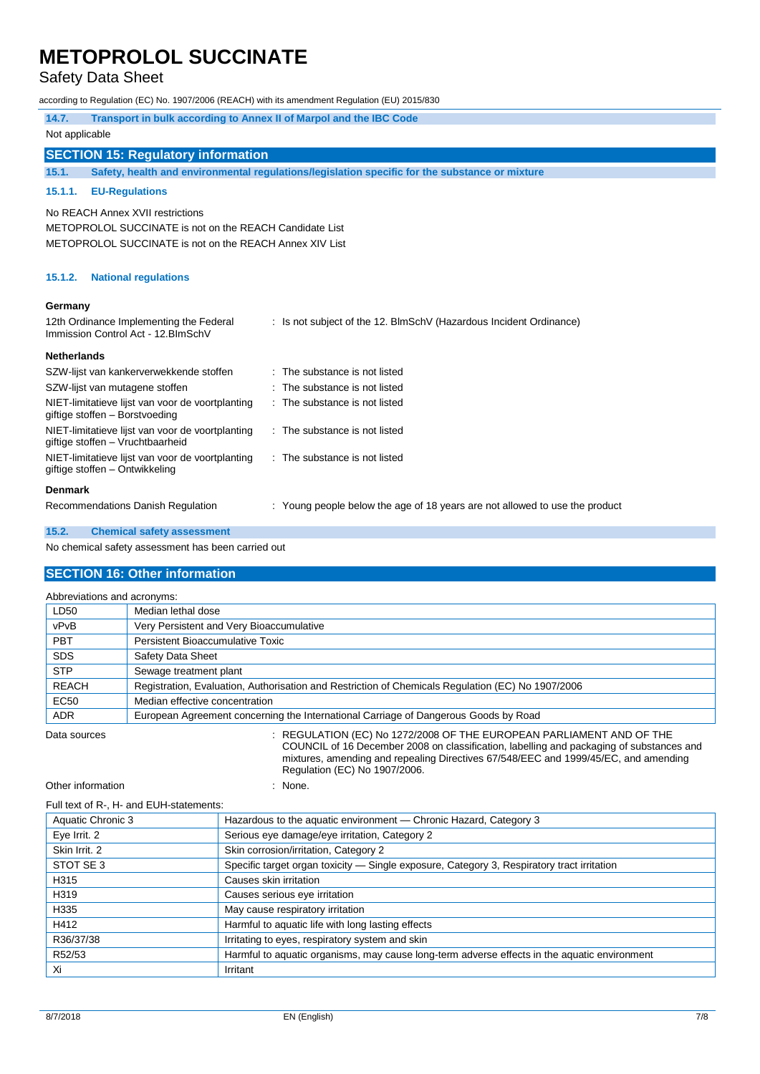### Safety Data Sheet

|                                                    | according to Regulation (EC) No. 1907/2006 (REACH) with its amendment Regulation (EU) 2015/830                                                         |                                                                             |  |
|----------------------------------------------------|--------------------------------------------------------------------------------------------------------------------------------------------------------|-----------------------------------------------------------------------------|--|
| 14.7.                                              | Transport in bulk according to Annex II of Marpol and the IBC Code                                                                                     |                                                                             |  |
| Not applicable                                     |                                                                                                                                                        |                                                                             |  |
|                                                    | <b>SECTION 15: Regulatory information</b>                                                                                                              |                                                                             |  |
| 15.1.                                              | Safety, health and environmental regulations/legislation specific for the substance or mixture                                                         |                                                                             |  |
| 15.1.1.                                            | <b>EU-Regulations</b>                                                                                                                                  |                                                                             |  |
|                                                    | No REACH Annex XVII restrictions<br>METOPROLOL SUCCINATE is not on the REACH Candidate List<br>METOPROLOL SUCCINATE is not on the REACH Annex XIV List |                                                                             |  |
| 15.1.2.                                            | <b>National regulations</b>                                                                                                                            |                                                                             |  |
| Germany                                            |                                                                                                                                                        |                                                                             |  |
|                                                    | 12th Ordinance Implementing the Federal<br>Immission Control Act - 12. BlmSchV                                                                         | : Is not subject of the 12. BlmSchV (Hazardous Incident Ordinance)          |  |
| <b>Netherlands</b>                                 |                                                                                                                                                        |                                                                             |  |
|                                                    | SZW-lijst van kankerverwekkende stoffen                                                                                                                | : The substance is not listed                                               |  |
|                                                    | SZW-lijst van mutagene stoffen                                                                                                                         | : The substance is not listed                                               |  |
|                                                    | NIET-limitatieve lijst van voor de voortplanting<br>giftige stoffen - Borstvoeding                                                                     | : The substance is not listed                                               |  |
|                                                    | NIET-limitatieve lijst van voor de voortplanting<br>giftige stoffen - Vruchtbaarheid                                                                   | : The substance is not listed                                               |  |
|                                                    | NIET-limitatieve lijst van voor de voortplanting<br>giftige stoffen - Ontwikkeling                                                                     | : The substance is not listed                                               |  |
| <b>Denmark</b>                                     |                                                                                                                                                        |                                                                             |  |
|                                                    | Recommendations Danish Regulation                                                                                                                      | : Young people below the age of 18 years are not allowed to use the product |  |
| 15.2.                                              | <b>Chemical safety assessment</b>                                                                                                                      |                                                                             |  |
| No chemical safety assessment has been carried out |                                                                                                                                                        |                                                                             |  |

### **SECTION 16: Other information**

| Abbreviations and acronyms: |                                                                                                   |  |
|-----------------------------|---------------------------------------------------------------------------------------------------|--|
| LD50                        | Median lethal dose                                                                                |  |
| vPvB                        | Very Persistent and Very Bioaccumulative                                                          |  |
| <b>PBT</b>                  | Persistent Bioaccumulative Toxic                                                                  |  |
| <b>SDS</b>                  | Safety Data Sheet                                                                                 |  |
| <b>STP</b>                  | Sewage treatment plant                                                                            |  |
| <b>REACH</b>                | Registration, Evaluation, Authorisation and Restriction of Chemicals Regulation (EC) No 1907/2006 |  |
| <b>EC50</b>                 | Median effective concentration                                                                    |  |
| <b>ADR</b>                  | European Agreement concerning the International Carriage of Dangerous Goods by Road               |  |

Data sources : REGULATION (EC) No 1272/2008 OF THE EUROPEAN PARLIAMENT AND OF THE COUNCIL of 16 December 2008 on classification, labelling and packaging of substances and mixtures, amending and repealing Directives 67/548/EEC and 1999/45/EC, and amending Regulation (EC) No 1907/2006.

Other information in the state of the state of the state of the state of the state of the state of the state of the state of the state of the state of the state of the state of the state of the state of the state of the st

#### Full text of R-, H- and EUH-statements:

| Aquatic Chronic 3 | Hazardous to the aquatic environment - Chronic Hazard, Category 3                            |
|-------------------|----------------------------------------------------------------------------------------------|
| Eye Irrit. 2      | Serious eye damage/eye irritation, Category 2                                                |
| Skin Irrit. 2     | Skin corrosion/irritation, Category 2                                                        |
| STOT SE 3         | Specific target organ toxicity — Single exposure, Category 3, Respiratory tract irritation   |
| H315              | Causes skin irritation                                                                       |
| H319              | Causes serious eye irritation                                                                |
| H335              | May cause respiratory irritation                                                             |
| H412              | Harmful to aquatic life with long lasting effects                                            |
| R36/37/38         | Irritating to eyes, respiratory system and skin                                              |
| R52/53            | Harmful to aquatic organisms, may cause long-term adverse effects in the aquatic environment |
| Xi                | Irritant                                                                                     |